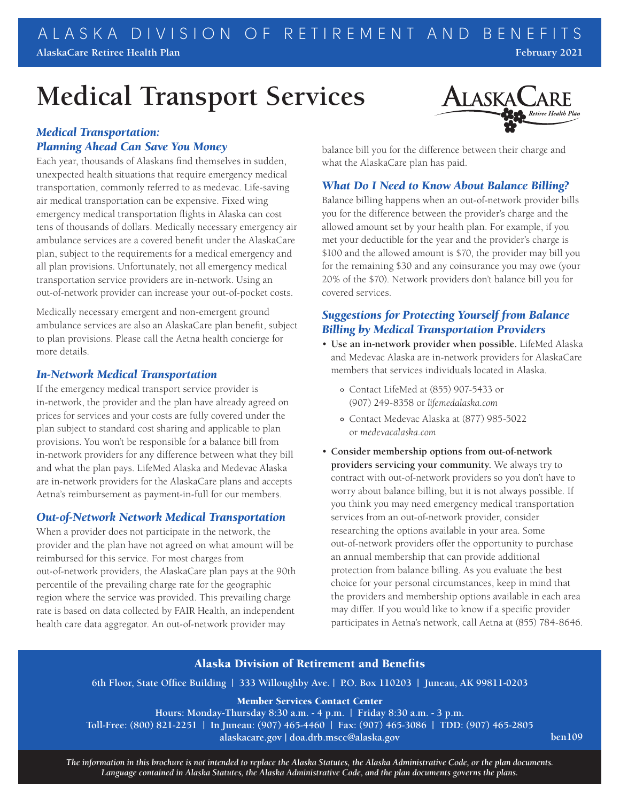# **Medical Transport Services**



Each year, thousands of Alaskans find themselves in sudden, unexpected health situations that require emergency medical transportation, commonly referred to as medevac. Life-saving air medical transportation can be expensive. Fixed wing emergency medical transportation flights in Alaska can cost tens of thousands of dollars. Medically necessary emergency air ambulance services are a covered benefit under the AlaskaCare plan, subject to the requirements for a medical emergency and all plan provisions. Unfortunately, not all emergency medical transportation service providers are in-network. Using an out-of-network provider can increase your out-of-pocket costs.

Medically necessary emergent and non-emergent ground ambulance services are also an AlaskaCare plan benefit, subject to plan provisions. Please call the Aetna health concierge for more details.

#### *In-Network Medical Transportation*

If the emergency medical transport service provider is in-network, the provider and the plan have already agreed on prices for services and your costs are fully covered under the plan subject to standard cost sharing and applicable to plan provisions. You won't be responsible for a balance bill from in-network providers for any difference between what they bill and what the plan pays. LifeMed Alaska and Medevac Alaska are in-network providers for the AlaskaCare plans and accepts Aetna's reimbursement as payment-in-full for our members.

## *Out-of-Network Network Medical Transportation*

When a provider does not participate in the network, the provider and the plan have not agreed on what amount will be reimbursed for this service. For most charges from out-of-network providers, the AlaskaCare plan pays at the 90th percentile of the prevailing charge rate for the geographic region where the service was provided. This prevailing charge rate is based on data collected by FAIR Health, an independent health care data aggregator. An out-of-network provider may



balance bill you for the difference between their charge and what the AlaskaCare plan has paid.

## *What Do I Need to Know About Balance Billing?*

Balance billing happens when an out-of-network provider bills you for the difference between the provider's charge and the allowed amount set by your health plan. For example, if you met your deductible for the year and the provider's charge is \$100 and the allowed amount is \$70, the provider may bill you for the remaining \$30 and any coinsurance you may owe (your 20% of the \$70). Network providers don't balance bill you for covered services.

# *Suggestions for Protecting Yourself from Balance Billing by Medical Transportation Providers*

- **Use an in-network provider when possible.** LifeMed Alaska and Medevac Alaska are in-network providers for AlaskaCare members that services individuals located in Alaska.
	- Contact LifeMed at (855) 907-5433 or (907) 249-8358 or *lifemedalaska.com*
	- Contact Medevac Alaska at (877) 985-5022 or *medevacalaska.com*
- **Consider membership options from out-of-network providers servicing your community.** We always try to contract with out-of-network providers so you don't have to worry about balance billing, but it is not always possible. If you think you may need emergency medical transportation services from an out-of-network provider, consider researching the options available in your area. Some out-of-network providers offer the opportunity to purchase an annual membership that can provide additional protection from balance billing. As you evaluate the best choice for your personal circumstances, keep in mind that the providers and membership options available in each area may differ. If you would like to know if a specific provider participates in Aetna's network, call Aetna at (855) 784-8646.

## Alaska Division of Retirement and Benefits

**6th Floor, State Office Building | 333 Willoughby Ave. | P.O. Box 110203 | Juneau, AK 99811-0203**

Member Services Contact Center

**Hours: Monday-Thursday 8:30 a.m. - 4 p.m. | Friday 8:30 a.m. - 3 p.m.**

**Toll-Free: (800) 821-2251 | In Juneau: (907) 465-4460 | Fax: (907) 465-3086 | TDD: (907) 465-2805**

**alaskacare.gov | doa.drb.mscc@alaska.gov**

**ben109**

*The information in this brochure is not intended to replace the Alaska Statutes, the Alaska Administrative Code, or the plan documents. Language contained in Alaska Statutes, the Alaska Administrative Code, and the plan documents governs the plans.*